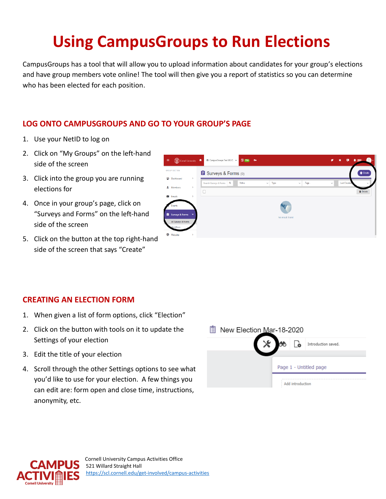# **Using CampusGroups to Run Elections**

CampusGroups has a tool that will allow you to upload information about candidates for your group's elections and have group members vote online! The tool will then give you a report of statistics so you can determine who has been elected for each position.

### **LOG ONTO CAMPUSGROUPS AND GO TO YOUR GROUP'S PAGE**

- 1. Use your NetID to log on
- 2. Click on "My Groups" on the left-hand side of the screen
- 3. Click into the group you are running elections for
- 4. Once in your group's page, click on "Surveys and Forms" on the left-hand side of the screen
- 5. Click on the button at the top right-hand side of the screen that says "Create"



#### **CREATING AN ELECTION FORM**

- 1. When given a list of form options, click "Election"
- 2. Click on the button with tools on it to update the Settings of your election
- 3. Edit the title of your election
- 4. Scroll through the other Settings options to see what you'd like to use for your election. A few things you can edit are: form open and close time, instructions, anonymity, etc.

| E | New Election Mar-18-2020 |  |  |                  |                        |  |  |  |  |  |
|---|--------------------------|--|--|------------------|------------------------|--|--|--|--|--|
|   |                          |  |  |                  | Introduction saved.    |  |  |  |  |  |
|   |                          |  |  |                  |                        |  |  |  |  |  |
|   |                          |  |  |                  | Page 1 - Untitled page |  |  |  |  |  |
|   |                          |  |  | Add introduction |                        |  |  |  |  |  |

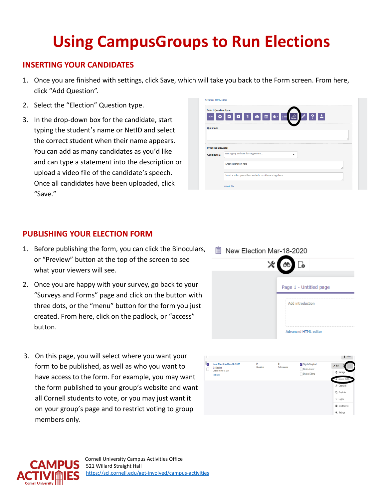# **Using CampusGroups to Run Elections**

#### **INSERTING YOUR CANDIDATES**

- 1. Once you are finished with settings, click Save, which will take you back to the Form screen. From here, click "Add Question".
- 2. Select the "Election" Question type.
- 3. In the drop-down box for the candidate, start typing the student's name or NetID and select the correct student when their name appears. You can add as many candidates as you'd like and can type a statement into the description or upload a video file of the candidate's speech. Once all candidates have been uploaded, click "Save."

| <b>Select Question Type</b>              |                                                               |
|------------------------------------------|---------------------------------------------------------------|
| abc                                      | ◘▌▜▎▅▌▆▌ <sub>▓▘</sub> ▏░▁<br>$\blacktriangle$<br>$  \circ  $ |
|                                          |                                                               |
| <b>Question:</b>                         |                                                               |
|                                          |                                                               |
|                                          |                                                               |
|                                          |                                                               |
|                                          |                                                               |
|                                          | Start typing and wait for suggestions<br>٠                    |
|                                          | Enter description here                                        |
| <b>Proposed answers:</b><br>Candidate 1: |                                                               |

### **PUBLISHING YOUR ELECTION FORM**

- 1. Before publishing the form, you can click the Binoculars, or "Preview" button at the top of the screen to see what your viewers will see.
- 2. Once you are happy with your survey, go back to your "Surveys and Forms" page and click on the button with three dots, or the "menu" button for the form you just created. From here, click on the padlock, or "access" button.
- 3. On this page, you will select where you want your form to be published, as well as who you want to have access to the form. For example, you may want the form published to your group's website and want all Cornell students to vote, or you may just want it on your group's page and to restrict voting to group members only.

| 巨<br>New Election Mar-18-2020 |                             |  |  |  |  |  |  |
|-------------------------------|-----------------------------|--|--|--|--|--|--|
| $\times$ 60 $\sim$            |                             |  |  |  |  |  |  |
|                               |                             |  |  |  |  |  |  |
|                               | Page 1 - Untitled page      |  |  |  |  |  |  |
|                               | Add introduction            |  |  |  |  |  |  |
|                               | <b>Advanced HTML editor</b> |  |  |  |  |  |  |

<sup>图</sup> New Fleeting March 00000

| ٠o | New Election Mar-18-2020<br>2. Election     | 2<br>Questions | 0<br>Submissions | V Sign-In Required<br>Single Answer | $Z$ Edit        |
|----|---------------------------------------------|----------------|------------------|-------------------------------------|-----------------|
|    | Created on Mar 18, 2020<br><b>Edit Tags</b> |                |                  | Disable Editing                     | <b>C</b> Manage |
|    |                                             |                |                  |                                     | Access Rights   |
|    |                                             |                |                  |                                     | $O$ Copy Link   |
|    |                                             |                |                  |                                     | C Duplicate     |
|    |                                             |                |                  |                                     | $\times$ Logics |
|    |                                             |                |                  |                                     | Send Survey     |
|    |                                             |                |                  |                                     | Settings        |